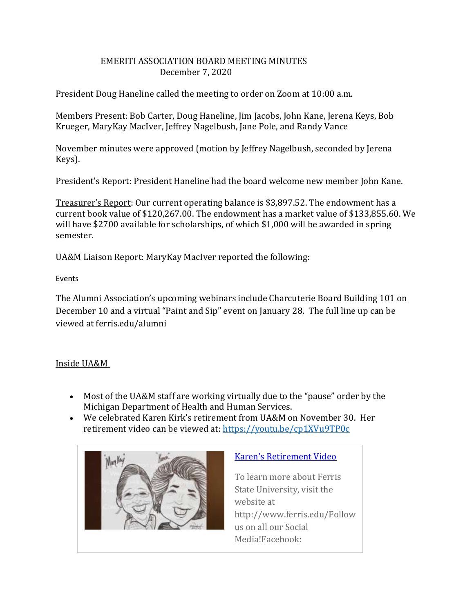## EMERITI ASSOCIATION BOARD MEETING MINUTES December 7, 2020

President Doug Haneline called the meeting to order on Zoom at 10:00 a.m.

Members Present: Bob Carter, Doug Haneline, Jim Jacobs, John Kane, Jerena Keys, Bob Krueger, MaryKay MacIver, Jeffrey Nagelbush, Jane Pole, and Randy Vance

November minutes were approved (motion by Jeffrey Nagelbush, seconded by Jerena Keys).

President's Report: President Haneline had the board welcome new member John Kane.

Treasurer's Report: Our current operating balance is \$3,897.52. The endowment has a current book value of \$120,267.00. The endowment has a market value of \$133,855.60. We will have \$2700 available for scholarships, of which \$1,000 will be awarded in spring semester.

UA&M Liaison Report: MaryKay MacIver reported the following:

Events

The Alumni Association's upcoming webinars include Charcuterie Board Building 101 on December 10 and a virtual "Paint and Sip" event on January 28. The full line up can be viewed at ferris.edu/alumni

## Inside UA&M

- Most of the UA&M staff are working virtually due to the "pause" order by the Michigan Department of Health and Human Services.
- We celebrated Karen Kirk's retirement from UA&M on November 30. Her retirement video can be viewed at: <https://youtu.be/cp1XVu9TP0c>



## Karen's [Retirement](https://youtu.be/cp1XVu9TP0c) Video

To learn more about Ferris State University, visit the website at http://www.ferris.edu/Follow us on all our Social Media!Facebook: